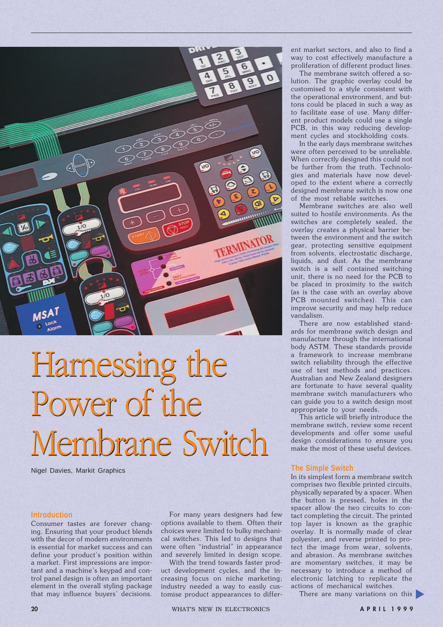

# Harnessing the Harnessing the Power of the Power of the Membrane Switch Membrane Switch

Nigel Davies, Markit Graphics

#### **Introduction**

Consumer tastes are forever changing. Ensuring that your product blends with the decor of modern environments is essential for market success and can define your product's position within a market. First impressions are important and a machine's keypad and control panel design is often an important element in the overall styling package that may influence buyers' decisions.

For many years designers had few options available to them. Often their choices were limited to bulky mechanical switches. This led to designs that were often "industrial" in appearance and severely limited in design scope.

With the trend towards faster product development cycles, and the increasing focus on niche marketing; industry needed a way to easily customise product appearances to different market sectors, and also to find a way to cost effectively manufacture a proliferation of different product lines.

The membrane switch offered a solution. The graphic overlay could be customised to a style consistent with the operational environment, and buttons could be placed in such a way as to facilitate ease of use. Many different product models could use a single PCB, in this way reducing development cycles and stockholding costs.

In the early days membrane switches were often perceived to be unreliable. When correctly designed this could not be further from the truth. Technologies and materials have now developed to the extent where a correctly designed membrane switch is now one of the most reliable switches.

Membrane switches are also well suited to hostile environments. As the switches are completely sealed, the overlay creates a physical barrier between the environment and the switch gear, protecting sensitive equipment from solvents, electrostatic discharge, liquids, and dust. As the membrane switch is a self contained switching unit, there is no need for the PCB to be placed in proximity to the switch (as is the case with an overlay above PCB mounted switches). This can improve security and may help reduce vandalism.

There are now established standards for membrane switch design and manufacture through the international body ASTM. These standards provide a framework to increase membrane switch reliability through the effective use of test methods and practices. Australian and New Zealand designers are fortunate to have several quality membrane switch manufacturers who can guide you to a switch design most appropriate to your needs.

This article will briefly introduce the membrane switch, review some recent developments and offer some useful design considerations to ensure you make the most of these useful devices.

#### **The Simple Switch**

In its simplest form a membrane switch comprises two flexible printed circuits, physically separated by a spacer. When the button is pressed, holes in the spacer allow the two circuits to contact completing the circuit. The printed top layer is known as the graphic overlay. It is normally made of clear polyester, and reverse printed to protect the image from wear, solvents, and abrasion. As membrane switches are momentary switches, it may be necessary to introduce a method of electronic latching to replicate the actions of mechanical switches.

There are many variations on this

**20** WHAT'S NEW IN ELECTRONICS **A P R I L 1 9 9 9**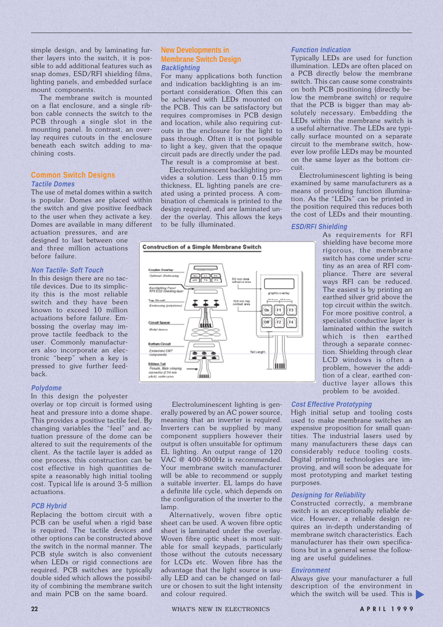simple design, and by laminating further layers into the switch, it is possible to add additional features such as snap domes, ESD/RFI shielding films, lighting panels, and embedded surface mount components.

The membrane switch is mounted on a flat enclosure, and a single ribbon cable connects the switch to the PCB through a single slot in the mounting panel. In contrast, an overlay requires cutouts in the enclosure beneath each switch adding to machining costs.

# **Common Switch Designs Tactile Domes**

The use of metal domes within a switch is popular. Domes are placed within the switch and give positive feedback to the user when they activate a key. Domes are available in many different actuation pressures, and are

designed to last between one and three million actuations before failure.

# **Non Tactile- Soft Touch**

In this design there are no tactile devices. Due to its simplicity this is the most reliable switch and they have been known to exceed 10 million actuations before failure. Embossing the overlay may improve tactile feedback to the user. Commonly manufacturers also incorporate an electronic "beep" when a key is pressed to give further feedback.

# **Polydome**

In this design the polyester

overlay or top circuit is formed using heat and pressure into a dome shape. This provides a positive tactile feel. By changing variables the "feel" and actuation pressure of the dome can be altered to suit the requirements of the client. As the tactile layer is added as one process, this construction can be cost effective in high quantities despite a reasonably high initial tooling cost. Typical life is around 3-5 million actuations.

# **PCB Hybrid**

Replacing the bottom circuit with a PCB can be useful when a rigid base is required. The tactile devices and other options can be constructed above the switch in the normal manner. The PCB style switch is also convenient when LEDs or rigid connections are required. PCB switches are typically double sided which allows the possibility of combining the membrane switch and main PCB on the same board.

# **New Developments in Membrane Switch Design Backlighting**

For many applications both function and indication backlighting is an important consideration. Often this can be achieved with LEDs mounted on the PCB. This can be satisfactory but requires compromises in PCB design and location, while also requiring cutouts in the enclosure for the light to pass through. Often it is not possible to light a key, given that the opaque circuit pads are directly under the pad. The result is a compromise at best.

Electroluminescent backlighting provides a solution. Less than 0.15 mm thickness, EL lighting panels are created using a printed process. A combination of chemicals is printed to the design required, and are laminated under the overlay. This allows the keys to be fully illuminated.





 Electroluminescent lighting is generally powered by an AC power source, meaning that an inverter is required. Inverters can be supplied by many component suppliers however their output is often unsuitable for optimum EL lighting. An output range of 120 VAC @ 400-800Hz is recommended. Your membrane switch manufacturer will be able to recommend or supply a suitable inverter. EL lamps do have a definite life cycle, which depends on the configuration of the inverter to the lamp.

Alternatively, woven fibre optic sheet can be used. A woven fibre optic sheet is laminated under the overlay. Woven fibre optic sheet is most suitable for small keypads, particularly those without the cutouts necessary for LCDs etc. Woven fibre has the advantage that the light source is usually LED and can be changed on failure or chosen to suit the light intensity and colour required.

## **Function Indication**

Typically LEDs are used for function illumination. LEDs are often placed on a PCB directly below the membrane switch. This can cause some constraints on both PCB positioning (directly below the membrane switch) or require that the PCB is bigger than may absolutely necessary. Embedding the LEDs within the membrane switch is a useful alternative. The LEDs are typically surface mounted on a separate circuit to the membrane switch, however low profile LEDs may be mounted on the same layer as the bottom circuit.

Electroluminescent lighting is being examined by same manufacturers as a means of providing function illumination. As the "LEDs" can be printed in the position required this reduces both the cost of LEDs and their mounting.

## **ESD/RFI Shielding**

As requirements for RFI shielding have become more rigorous, the membrane switch has come under scrutiny as an area of RFI compliance. There are several ways RFI can be reduced. The easiest is by printing an earthed silver grid above the top circuit within the switch. For more positive control, a specialist conductive layer is laminated within the switch which is then earthed through a separate connection. Shielding through clear LCD windows is often a problem, however the addition of a clear, earthed conductive layer allows this problem to be avoided.

# **Cost Effective Prototyping**

High initial setup and tooling costs used to make membrane switches an expensive proposition for small quantities. The industrial lasers used by many manufacturers these days can considerably reduce tooling costs. Digital printing technologies are improving, and will soon be adequate for most prototyping and market testing purposes.

## **Designing for Reliability**

Constructed correctly, a membrane switch is an exceptionally reliable device. However, a reliable design requires an in-depth understanding of membrane switch characteristics. Each manufacturer has their own specifications but in a general sense the following are useful guidelines.

#### **Environment**

Always give your manufacturer a full description of the environment in which the switch will be used. This is